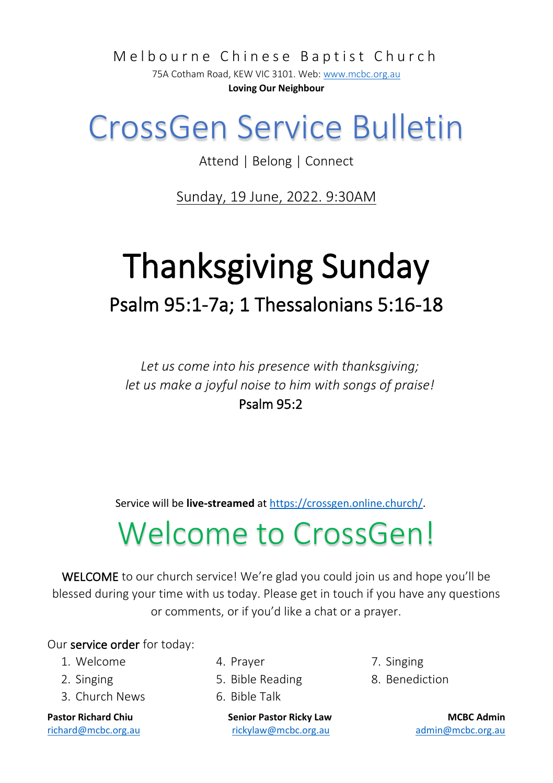Melbourne Chinese Baptist Church

75A Cotham Road, KEW VIC 3101. Web[: www.mcbc.org.au](http://www.mcbc.org.au/) **Loving Our Neighbour**

## CrossGen Service Bulletin

Attend | Belong | Connect

Sunday, 19 June, 2022. 9:30AM

# Thanksgiving Sunday Psalm 95:1-7a; 1 Thessalonians 5:16-18

*Let us come into his presence with thanksgiving; let us make a joyful noise to him with songs of praise!* Psalm 95:2

Service will be **live-streamed** a[t https://crossgen.online.church/.](https://crossgen.online.church/)

## Welcome to CrossGen!

WELCOME to our church service! We're glad you could join us and hope you'll be blessed during your time with us today. Please get in touch if you have any questions or comments, or if you'd like a chat or a prayer.

Our service order for today:

- 1. Welcome
- 2. Singing
- 3. Church News

- 4. Prayer
- 5. Bible Reading
- 6. Bible Talk

**Pastor Richard Chiu Senior Pastor Ricky Law MCBC Admin** [richard@mcbc.org.au](mailto:richard@mcbc.org.au) [rickylaw@mcbc.org.au](mailto:rickylaw@mcbc.org.au) [admin@mcbc.org.au](mailto:admin@mcbc.org.au)

- 7. Singing
- 8. Benediction